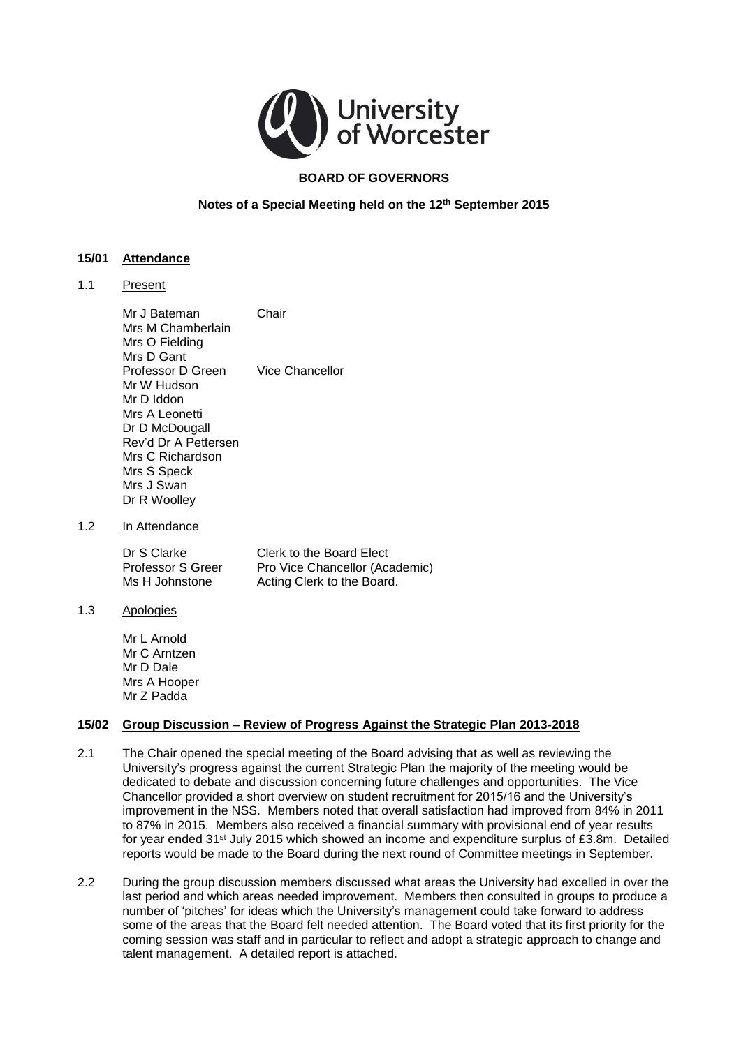

# **BOARD OF GOVERNORS**

## **Notes of a Special Meeting held on the 12th September 2015**

#### **15/01 Attendance**

1.1 Present

Mr J Bateman Chair Mrs M Chamberlain Mrs O Fielding Mrs D Gant Professor D Green Vice Chancellor Mr W Hudson Mr D Iddon Mrs A Leonetti Dr D McDougall Rev'd Dr A Pettersen Mrs C Richardson Mrs S Speck Mrs J Swan Dr R Woolley

1.2 In Attendance

Dr S Clarke Clerk to the Board Elect<br>
Professor S Greer Pro Vice Chancellor (Act Pro Vice Chancellor (Academic) Ms H Johnstone Acting Clerk to the Board.

1.3 Apologies

Mr L Arnold Mr C Arntzen Mr D Dale Mrs A Hooper Mr Z Padda

#### **15/02 Group Discussion – Review of Progress Against the Strategic Plan 2013-2018**

- 2.1 The Chair opened the special meeting of the Board advising that as well as reviewing the University's progress against the current Strategic Plan the majority of the meeting would be dedicated to debate and discussion concerning future challenges and opportunities. The Vice Chancellor provided a short overview on student recruitment for 2015/16 and the University's improvement in the NSS. Members noted that overall satisfaction had improved from 84% in 2011 to 87% in 2015. Members also received a financial summary with provisional end of year results for year ended 31st July 2015 which showed an income and expenditure surplus of £3.8m. Detailed reports would be made to the Board during the next round of Committee meetings in September.
- 2.2 During the group discussion members discussed what areas the University had excelled in over the last period and which areas needed improvement. Members then consulted in groups to produce a number of 'pitches' for ideas which the University's management could take forward to address some of the areas that the Board felt needed attention. The Board voted that its first priority for the coming session was staff and in particular to reflect and adopt a strategic approach to change and talent management. A detailed report is attached.